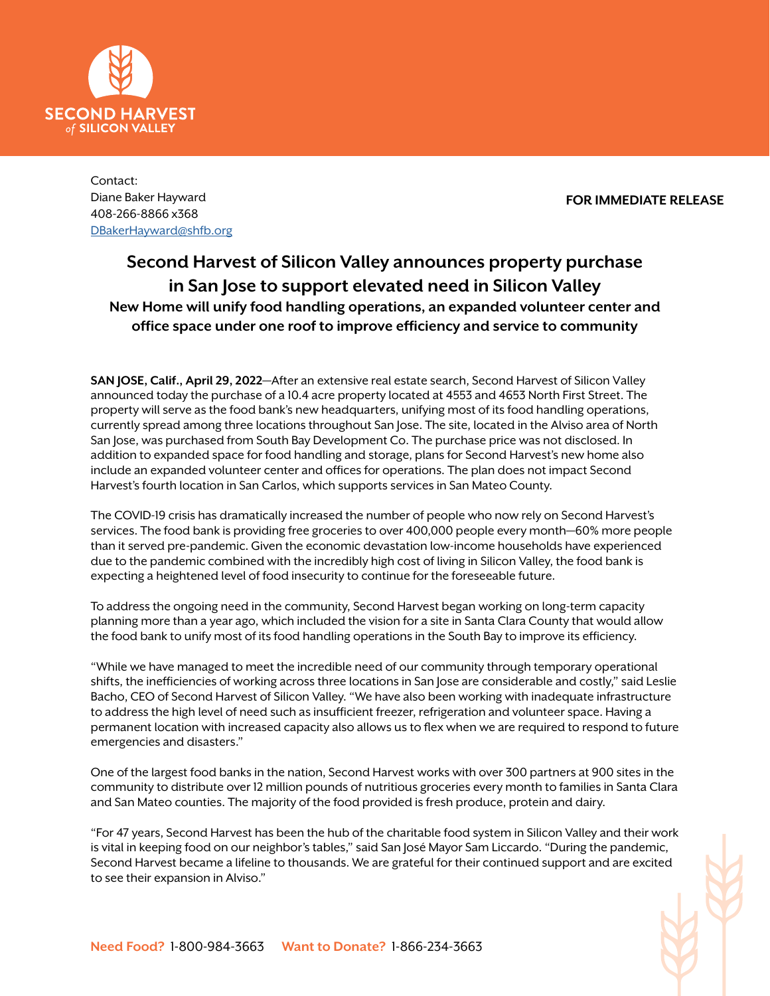

Contact: Diane Baker Hayward 408-266-8866 x368 DBakerHayward@shfb.org

**FOR IMMEDIATE RELEASE**

## **Second Harvest of Silicon Valley announces property purchase in San Jose to support elevated need in Silicon Valley New Home will unify food handling operations, an expanded volunteer center and office space under one roof to improve efficiency and service to community**

**SAN JOSE, Calif., April 29, 2022**—After an extensive real estate search, Second Harvest of Silicon Valley announced today the purchase of a 10.4 acre property located at 4553 and 4653 North First Street. The property will serve as the food bank's new headquarters, unifying most of its food handling operations, currently spread among three locations throughout San Jose. The site, located in the Alviso area of North San Jose, was purchased from South Bay Development Co. The purchase price was not disclosed. In addition to expanded space for food handling and storage, plans for Second Harvest's new home also include an expanded volunteer center and offices for operations. The plan does not impact Second Harvest's fourth location in San Carlos, which supports services in San Mateo County.

The COVID-19 crisis has dramatically increased the number of people who now rely on Second Harvest's services. The food bank is providing free groceries to over 400,000 people every month—60% more people than it served pre-pandemic. Given the economic devastation low-income households have experienced due to the pandemic combined with the incredibly high cost of living in Silicon Valley, the food bank is expecting a heightened level of food insecurity to continue for the foreseeable future.

To address the ongoing need in the community, Second Harvest began working on long-term capacity planning more than a year ago, which included the vision for a site in Santa Clara County that would allow the food bank to unify most of its food handling operations in the South Bay to improve its efficiency.

"While we have managed to meet the incredible need of our community through temporary operational shifts, the inefficiencies of working across three locations in San Jose are considerable and costly," said Leslie Bacho, CEO of Second Harvest of Silicon Valley. "We have also been working with inadequate infrastructure to address the high level of need such as insufficient freezer, refrigeration and volunteer space. Having a permanent location with increased capacity also allows us to flex when we are required to respond to future emergencies and disasters."

One of the largest food banks in the nation, Second Harvest works with over 300 partners at 900 sites in the community to distribute over 12 million pounds of nutritious groceries every month to families in Santa Clara and San Mateo counties. The majority of the food provided is fresh produce, protein and dairy.

"For 47 years, Second Harvest has been the hub of the charitable food system in Silicon Valley and their work is vital in keeping food on our neighbor's tables," said San José Mayor Sam Liccardo. "During the pandemic, Second Harvest became a lifeline to thousands. We are grateful for their continued support and are excited to see their expansion in Alviso."